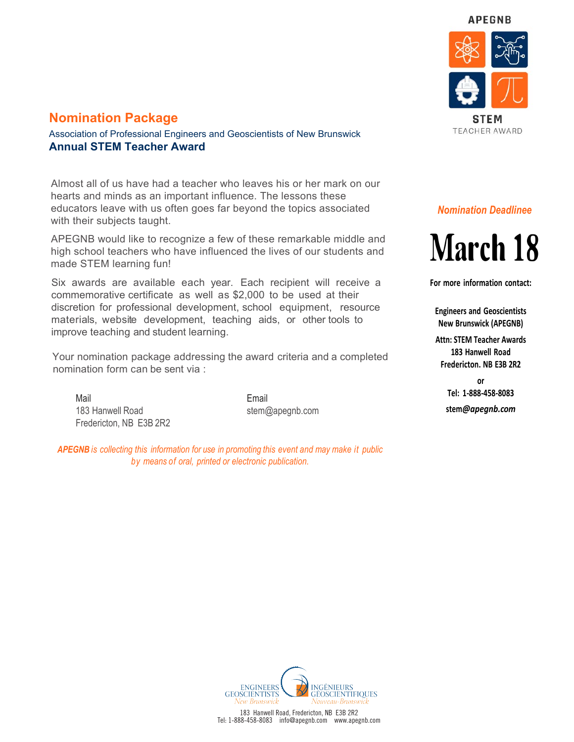**APEGNB** 



**TEACHER AWARD** 

**Nomination Package**

Association of Professional Engineers and Geoscientists of New Brunswick **Annual STEM Teacher Award**

Almost all of us have had a teacher who leaves his or her mark on our hearts and minds as an important influence. The lessons these educators leave with us often goes far beyond the topics associated with their subjects taught.

APEGNB would like to recognize a few of these remarkable middle and high school teachers who have influenced the lives of our students and made STEM learning fun!

Six awards are available each year. Each recipient will receive a commemorative certificate as well as \$2,000 to be used at their discretion for professional development, school equipment, resource materials, website development, teaching aids, or other tools to improve teaching and student learning.

Your nomination package addressing the award criteria and a completed nomination form can be sent via :

Mail Email 183 Hanwell Road stem@apegnb.com Fredericton, NB E3B 2R2

*APEGNB is collecting this information for use in promoting this event and may make it public by means of oral, printed or electronic publication.* 

#### *Nomination Deadlinee*

## **March 18**

**For more information contact:** 

**Engineers and Geoscientists New Brunswick (APEGNB)** 

**Attn: STEM Teacher Awards 183 Hanwell Road Fredericton. NB E3B 2R2** 

> **or Tel: 1-888-458-8083 stem***@apegnb.com*

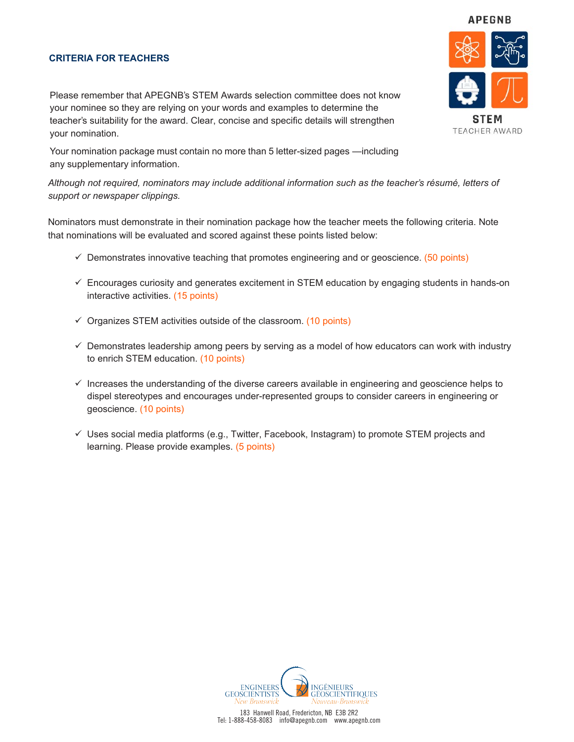#### **CRITERIA FOR TEACHERS**

Please remember that APEGNB's STEM Awards selection committee does not know your nominee so they are relying on your words and examples to determine the teacher's suitability for the award. Clear, concise and specific details will strengthen your nomination.

Your nomination package must contain no more than 5 letter-sized pages —including any supplementary information.

*Although not required, nominators may include additional information such as the teacher's résumé, letters of support or newspaper clippings.*

Nominators must demonstrate in their nomination package how the teacher meets the following criteria. Note that nominations will be evaluated and scored against these points listed below:

- $\checkmark$  Demonstrates innovative teaching that promotes engineering and or geoscience. (50 points)
- $\checkmark$  Encourages curiosity and generates excitement in STEM education by engaging students in hands-on interactive activities. (15 points)
- $\checkmark$  Organizes STEM activities outside of the classroom. (10 points)
- $\checkmark$  Demonstrates leadership among peers by serving as a model of how educators can work with industry to enrich STEM education. (10 points)
- $\checkmark$  Increases the understanding of the diverse careers available in engineering and geoscience helps to dispel stereotypes and encourages under-represented groups to consider careers in engineering or geoscience. (10 points)
- $\checkmark$  Uses social media platforms (e.g., Twitter, Facebook, Instagram) to promote STEM projects and learning. Please provide examples. (5 points)





### **APEGNB**